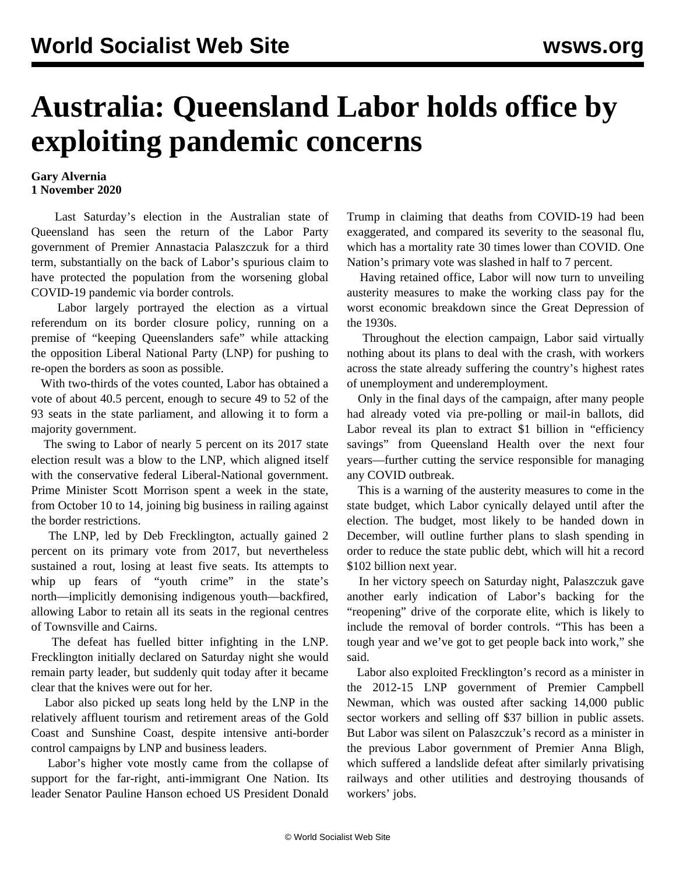## **Australia: Queensland Labor holds office by exploiting pandemic concerns**

## **Gary Alvernia 1 November 2020**

 Last Saturday's election in the Australian state of Queensland has seen the return of the Labor Party government of Premier Annastacia Palaszczuk for a third term, substantially on the back of Labor's spurious claim to have protected the population from the worsening global COVID-19 pandemic via border controls.

 Labor largely portrayed the election as a virtual referendum on its border closure policy, running on a premise of "keeping Queenslanders safe" while attacking the opposition Liberal National Party (LNP) for pushing to re-open the borders as soon as possible.

 With two-thirds of the votes counted, Labor has obtained a vote of about 40.5 percent, enough to secure 49 to 52 of the 93 seats in the state parliament, and allowing it to form a majority government.

 The swing to Labor of nearly 5 percent on its 2017 state election result was a blow to the LNP, which aligned itself with the conservative federal Liberal-National government. Prime Minister Scott Morrison spent a week in the state, from October 10 to 14, joining big business in railing against the border restrictions.

 The LNP, led by Deb Frecklington, actually gained 2 percent on its primary vote from 2017, but nevertheless sustained a rout, losing at least five seats. Its attempts to whip up fears of "youth crime" in the state's north—implicitly demonising indigenous youth—backfired, allowing Labor to retain all its seats in the regional centres of Townsville and Cairns.

 The defeat has fuelled bitter infighting in the LNP. Frecklington initially declared on Saturday night she would remain party leader, but suddenly quit today after it became clear that the knives were out for her.

 Labor also picked up seats long held by the LNP in the relatively affluent tourism and retirement areas of the Gold Coast and Sunshine Coast, despite intensive anti-border control campaigns by LNP and business leaders.

 Labor's higher vote mostly came from the collapse of support for the far-right, anti-immigrant One Nation. Its leader Senator Pauline Hanson echoed US President Donald Trump in claiming that deaths from COVID-19 had been exaggerated, and compared its severity to the seasonal flu, which has a mortality rate 30 times lower than COVID. One Nation's primary vote was slashed in half to 7 percent.

 Having retained office, Labor will now turn to unveiling austerity measures to make the working class pay for the worst economic breakdown since the Great Depression of the 1930s.

 Throughout the election campaign, Labor said virtually nothing about its plans to deal with the crash, with workers across the state already suffering the country's highest rates of unemployment and underemployment.

 Only in the final days of the campaign, after many people had already voted via pre-polling or mail-in ballots, did Labor reveal its plan to extract \$1 billion in "efficiency savings" from Queensland Health over the next four years—further cutting the service responsible for managing any COVID outbreak.

 This is a warning of the austerity measures to come in the state budget, which Labor cynically delayed until after the election. The budget, most likely to be handed down in December, will outline further plans to slash spending in order to reduce the state public debt, which will hit a record \$102 billion next year.

 In her victory speech on Saturday night, Palaszczuk gave another early indication of Labor's backing for the "reopening" drive of the corporate elite, which is likely to include the removal of border controls. "This has been a tough year and we've got to get people back into work," she said.

 Labor also exploited Frecklington's record as a minister in the 2012-15 LNP government of Premier Campbell Newman, which was ousted after sacking 14,000 public sector workers and selling off \$37 billion in public assets. But Labor was silent on Palaszczuk's record as a minister in the previous Labor government of Premier Anna Bligh, which suffered a landslide defeat after similarly privatising railways and other utilities and destroying thousands of workers' jobs.